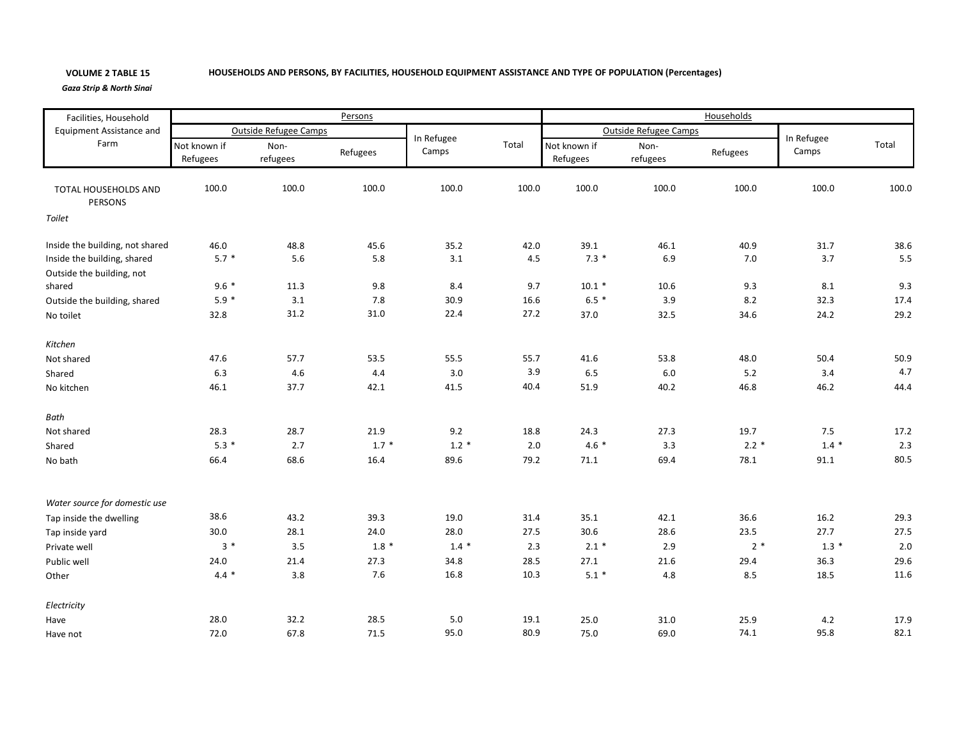## **VOLUME 2**

## 2 TABLE 15 HOUSEHOLDS AND PERSONS, BY FACILITIES, HOUSEHOLD EQUIPMENT ASSISTANCE AND TYPE OF POPULATION (Percentages)

*Gaza Strip & North Sinai*

| Facilities, Household                   | Persons                      |                  |          |                     |       | Households               |                  |          |                     |         |  |
|-----------------------------------------|------------------------------|------------------|----------|---------------------|-------|--------------------------|------------------|----------|---------------------|---------|--|
| <b>Equipment Assistance and</b><br>Farm | <b>Outside Refugee Camps</b> |                  |          |                     |       | Outside Refugee Camps    |                  |          |                     |         |  |
|                                         | Not known if<br>Refugees     | Non-<br>refugees | Refugees | In Refugee<br>Camps | Total | Not known if<br>Refugees | Non-<br>refugees | Refugees | In Refugee<br>Camps | Total   |  |
| TOTAL HOUSEHOLDS AND<br>PERSONS         | 100.0                        | 100.0            | 100.0    | 100.0               | 100.0 | 100.0                    | 100.0            | 100.0    | 100.0               | 100.0   |  |
| Toilet                                  |                              |                  |          |                     |       |                          |                  |          |                     |         |  |
| Inside the building, not shared         | 46.0                         | 48.8             | 45.6     | 35.2                | 42.0  | 39.1                     | 46.1             | 40.9     | 31.7                | 38.6    |  |
| Inside the building, shared             | $5.7*$                       | 5.6              | 5.8      | 3.1                 | 4.5   | $7.3*$                   | 6.9              | 7.0      | 3.7                 | 5.5     |  |
| Outside the building, not               |                              |                  |          |                     |       |                          |                  |          |                     |         |  |
| shared                                  | $9.6 *$                      | 11.3             | 9.8      | 8.4                 | 9.7   | $10.1 *$                 | 10.6             | 9.3      | 8.1                 | 9.3     |  |
| Outside the building, shared            | $5.9*$                       | 3.1              | 7.8      | 30.9                | 16.6  | $6.5*$                   | 3.9              | 8.2      | 32.3                | 17.4    |  |
| No toilet                               | 32.8                         | 31.2             | 31.0     | 22.4                | 27.2  | 37.0                     | 32.5             | 34.6     | 24.2                | 29.2    |  |
| Kitchen                                 |                              |                  |          |                     |       |                          |                  |          |                     |         |  |
| Not shared                              | 47.6                         | 57.7             | 53.5     | 55.5                | 55.7  | 41.6                     | 53.8             | 48.0     | 50.4                | 50.9    |  |
| Shared                                  | 6.3                          | 4.6              | 4.4      | 3.0                 | 3.9   | 6.5                      | 6.0              | 5.2      | 3.4                 | 4.7     |  |
| No kitchen                              | 46.1                         | 37.7             | 42.1     | 41.5                | 40.4  | 51.9                     | 40.2             | 46.8     | 46.2                | 44.4    |  |
| Bath                                    |                              |                  |          |                     |       |                          |                  |          |                     |         |  |
| Not shared                              | 28.3                         | 28.7             | 21.9     | 9.2                 | 18.8  | 24.3                     | 27.3             | 19.7     | 7.5                 | 17.2    |  |
| Shared                                  | $5.3*$                       | 2.7              | $1.7 *$  | $1.2*$              | 2.0   | $4.6*$                   | 3.3              | $2.2*$   | $1.4 *$             | 2.3     |  |
| No bath                                 | 66.4                         | 68.6             | 16.4     | 89.6                | 79.2  | 71.1                     | 69.4             | 78.1     | 91.1                | 80.5    |  |
| Water source for domestic use           |                              |                  |          |                     |       |                          |                  |          |                     |         |  |
| Tap inside the dwelling                 | 38.6                         | 43.2             | 39.3     | 19.0                | 31.4  | 35.1                     | 42.1             | 36.6     | 16.2                | 29.3    |  |
| Tap inside yard                         | 30.0                         | 28.1             | 24.0     | 28.0                | 27.5  | 30.6                     | 28.6             | 23.5     | 27.7                | 27.5    |  |
| Private well                            | $3*$                         | 3.5              | $1.8*$   | $1.4 *$             | 2.3   | $2.1*$                   | 2.9              | $2*$     | $1.3*$              | $2.0\,$ |  |
| Public well                             | 24.0                         | 21.4             | 27.3     | 34.8                | 28.5  | 27.1                     | 21.6             | 29.4     | 36.3                | 29.6    |  |
|                                         | $4.4*$                       | 3.8              | 7.6      | 16.8                | 10.3  | $5.1*$                   | 4.8              | 8.5      | 18.5                | 11.6    |  |
| Other                                   |                              |                  |          |                     |       |                          |                  |          |                     |         |  |
| Electricity                             |                              |                  |          |                     |       |                          |                  |          |                     |         |  |
| Have                                    | 28.0                         | 32.2             | 28.5     | 5.0                 | 19.1  | 25.0                     | 31.0             | 25.9     | 4.2                 | 17.9    |  |
| Have not                                | 72.0                         | 67.8             | 71.5     | 95.0                | 80.9  | 75.0                     | 69.0             | 74.1     | 95.8                | 82.1    |  |